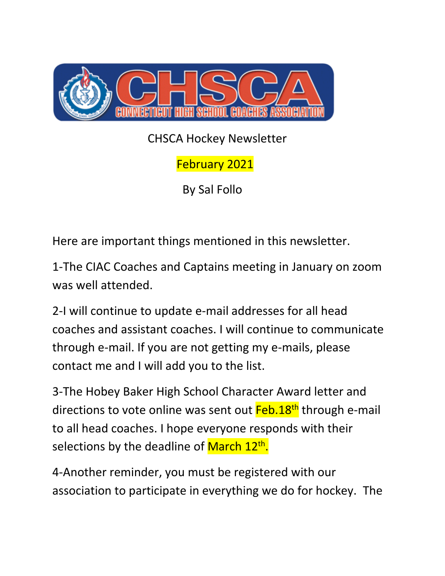

CHSCA Hockey Newsletter

February 2021

By Sal Follo

Here are important things mentioned in this newsletter.

1-The CIAC Coaches and Captains meeting in January on zoom was well attended.

2-I will continue to update e-mail addresses for all head coaches and assistant coaches. I will continue to communicate through e-mail. If you are not getting my e-mails, please contact me and I will add you to the list.

3-The Hobey Baker High School Character Award letter and directions to vote online was sent out Feb.18<sup>th</sup> through e-mail to all head coaches. I hope everyone responds with their selections by the deadline of <mark>March 12<sup>th</sup>.</mark>

4-Another reminder, you must be registered with our association to participate in everything we do for hockey. The